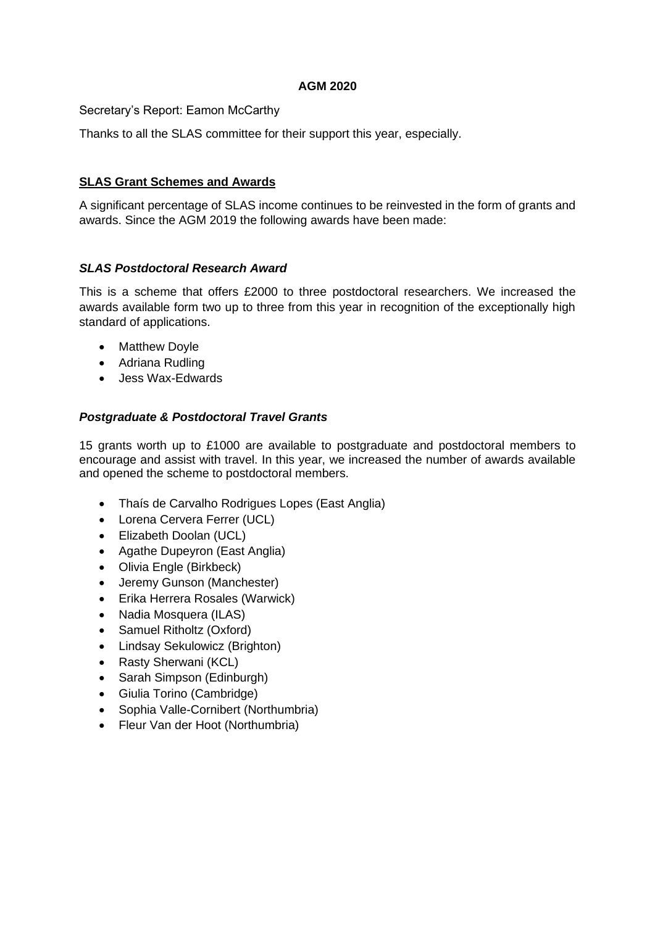### **AGM 2020**

Secretary's Report: Eamon McCarthy

Thanks to all the SLAS committee for their support this year, especially.

### **SLAS Grant Schemes and Awards**

A significant percentage of SLAS income continues to be reinvested in the form of grants and awards. Since the AGM 2019 the following awards have been made:

### *SLAS Postdoctoral Research Award*

This is a scheme that offers £2000 to three postdoctoral researchers. We increased the awards available form two up to three from this year in recognition of the exceptionally high standard of applications.

- Matthew Doyle
- Adriana Rudling
- Jess Wax-Edwards

## *Postgraduate & Postdoctoral Travel Grants*

15 grants worth up to £1000 are available to postgraduate and postdoctoral members to encourage and assist with travel. In this year, we increased the number of awards available and opened the scheme to postdoctoral members.

- Thaís de Carvalho Rodrigues Lopes (East Anglia)
- Lorena Cervera Ferrer (UCL)
- Elizabeth Doolan (UCL)
- Agathe Dupeyron (East Anglia)
- Olivia Engle (Birkbeck)
- Jeremy Gunson (Manchester)
- Erika Herrera Rosales (Warwick)
- Nadia Mosquera (ILAS)
- Samuel Ritholtz (Oxford)
- Lindsay Sekulowicz (Brighton)
- Rasty Sherwani (KCL)
- Sarah Simpson (Edinburgh)
- Giulia Torino (Cambridge)
- Sophia Valle-Cornibert (Northumbria)
- Fleur Van der Hoot (Northumbria)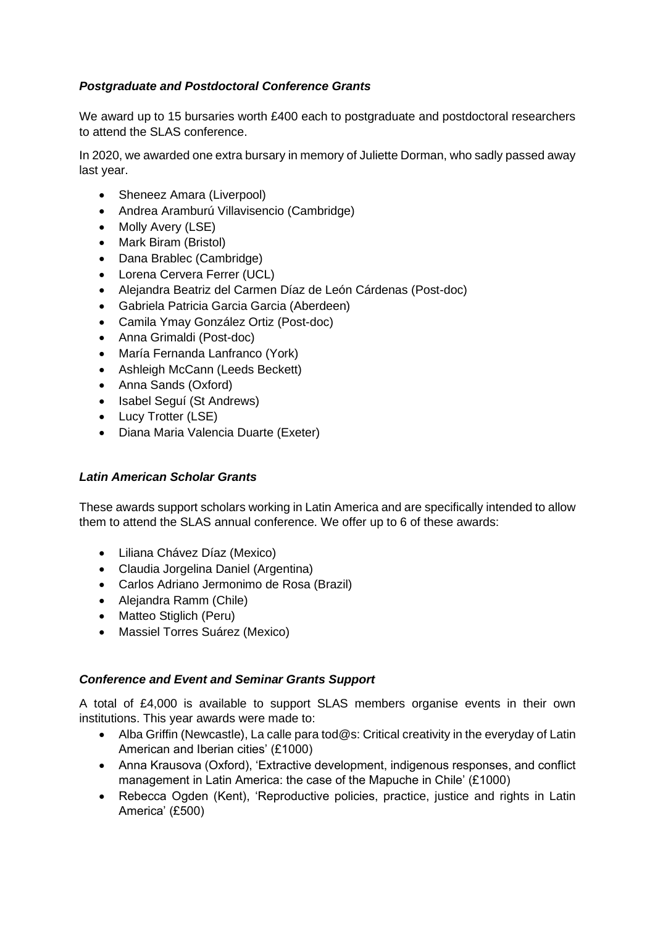# *Postgraduate and Postdoctoral Conference Grants*

We award up to 15 bursaries worth £400 each to postgraduate and postdoctoral researchers to attend the SLAS conference.

In 2020, we awarded one extra bursary in memory of Juliette Dorman, who sadly passed away last year.

- Sheneez Amara (Liverpool)
- Andrea Aramburú Villavisencio (Cambridge)
- Molly Avery (LSE)
- Mark Biram (Bristol)
- Dana Brablec (Cambridge)
- Lorena Cervera Ferrer (UCL)
- Alejandra Beatriz del Carmen Díaz de León Cárdenas (Post-doc)
- Gabriela Patricia Garcia Garcia (Aberdeen)
- Camila Ymay González Ortiz (Post-doc)
- Anna Grimaldi (Post-doc)
- María Fernanda Lanfranco (York)
- Ashleigh McCann (Leeds Beckett)
- Anna Sands (Oxford)
- Isabel Seguí (St Andrews)
- Lucy Trotter (LSE)
- Diana Maria Valencia Duarte (Exeter)

### *Latin American Scholar Grants*

These awards support scholars working in Latin America and are specifically intended to allow them to attend the SLAS annual conference. We offer up to 6 of these awards:

- Liliana Chávez Díaz (Mexico)
- Claudia Jorgelina Daniel (Argentina)
- Carlos Adriano Jermonimo de Rosa (Brazil)
- Alejandra Ramm (Chile)
- Matteo Stiglich (Peru)
- Massiel Torres Suárez (Mexico)

### *Conference and Event and Seminar Grants Support*

A total of £4,000 is available to support SLAS members organise events in their own institutions. This year awards were made to:

- Alba Griffin (Newcastle), La calle para tod@s: Critical creativity in the everyday of Latin American and Iberian cities' (£1000)
- Anna Krausova (Oxford), 'Extractive development, indigenous responses, and conflict management in Latin America: the case of the Mapuche in Chile' (£1000)
- Rebecca Ogden (Kent), 'Reproductive policies, practice, justice and rights in Latin America' (£500)